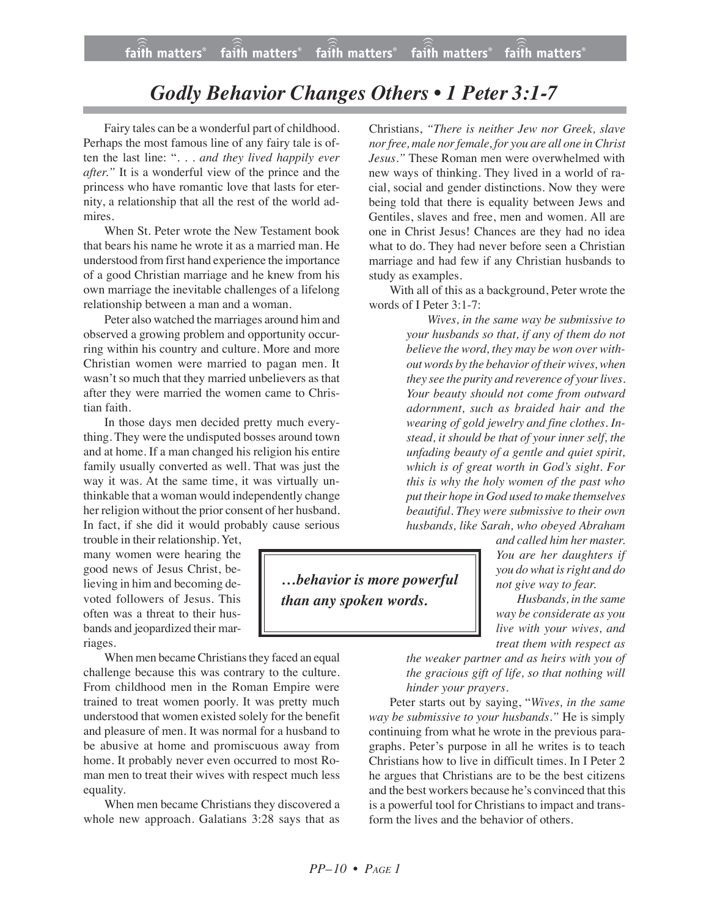## *Godly Behavior Changes Others • 1 Peter 3:1-7*

Fairy tales can be a wonderful part of childhood. Perhaps the most famous line of any fairy tale is often the last line: ". . . *and they lived happily ever after."* It is a wonderful view of the prince and the princess who have romantic love that lasts for eternity, a relationship that all the rest of the world admires.

When St. Peter wrote the New Testament book that bears his name he wrote it as a married man. He understood from first hand experience the importance of a good Christian marriage and he knew from his own marriage the inevitable challenges of a lifelong relationship between a man and a woman.

Peter also watched the marriages around him and observed a growing problem and opportunity occurring within his country and culture. More and more Christian women were married to pagan men. It wasn't so much that they married unbelievers as that after they were married the women came to Christian faith.

In those days men decided pretty much everything. They were the undisputed bosses around town and at home. If a man changed his religion his entire family usually converted as well. That was just the way it was. At the same time, it was virtually unthinkable that a woman would independently change her religion without the prior consent of her husband. In fact, if she did it would probably cause serious

trouble in their relationship. Yet, many women were hearing the good news of Jesus Christ, believing in him and becoming devoted followers of Jesus. This often was a threat to their husbands and jeopardized their marriages.

When men became Christians they faced an equal challenge because this was contrary to the culture. From childhood men in the Roman Empire were trained to treat women poorly. It was pretty much understood that women existed solely for the benefit and pleasure of men. It was normal for a husband to be abusive at home and promiscuous away from home. It probably never even occurred to most Roman men to treat their wives with respect much less equality.

When men became Christians they discovered a whole new approach. Galatians 3:28 says that as Christians, *"There is neither Jew nor Greek, slave nor free, male norfemale, for you are all one in Christ Jesus."* These Roman men were overwhelmed with new ways of thinking. They lived in a world of racial, social and gender distinctions. Now they were being told that there is equality between Jews and Gentiles, slaves and free, men and women. All are one in Christ Jesus! Chances are they had no idea what to do. They had never before seen a Christian marriage and had few if any Christian husbands to study as examples.

With all of this as a background, Peter wrote the words of I Peter 3:1-7:

> *Wives, in the same way be submissive to your husbands so that, if any of them do not believe the word, they may be won over without words by the behavior of their wives, when they see the purity and reverence of your lives. Your beauty should not come from outward adornment, such as braided hair and the wearing of gold jewelry and fine clothes. Instead, it should be that of your inner self, the unfading beauty of a gentle and quiet spirit, which is of great worth in God's sight. For this is why the holy women of the past who put their hope in God used to make themselves beautiful. They were submissive to their own husbands, like Sarah, who obeyed Abraham*

*…behavior is more powerful than any spoken words.*

*and called him her master. You are her daughters if you do what is right and do not give way to fear.*

*Husbands, in the same way be considerate as you live with your wives, and treat them with respect as*

*the weaker partner and as heirs with you of the gracious gift of life, so that nothing will hinder your prayers.*

Peter starts out by saying, "*Wives, in the same way be submissive to your husbands."* He is simply continuing from what he wrote in the previous paragraphs. Peter's purpose in all he writes is to teach Christians how to live in difficult times. In I Peter 2 he argues that Christians are to be the best citizens and the best workers because he's convinced that this is a powerful tool for Christians to impact and transform the lives and the behavior of others.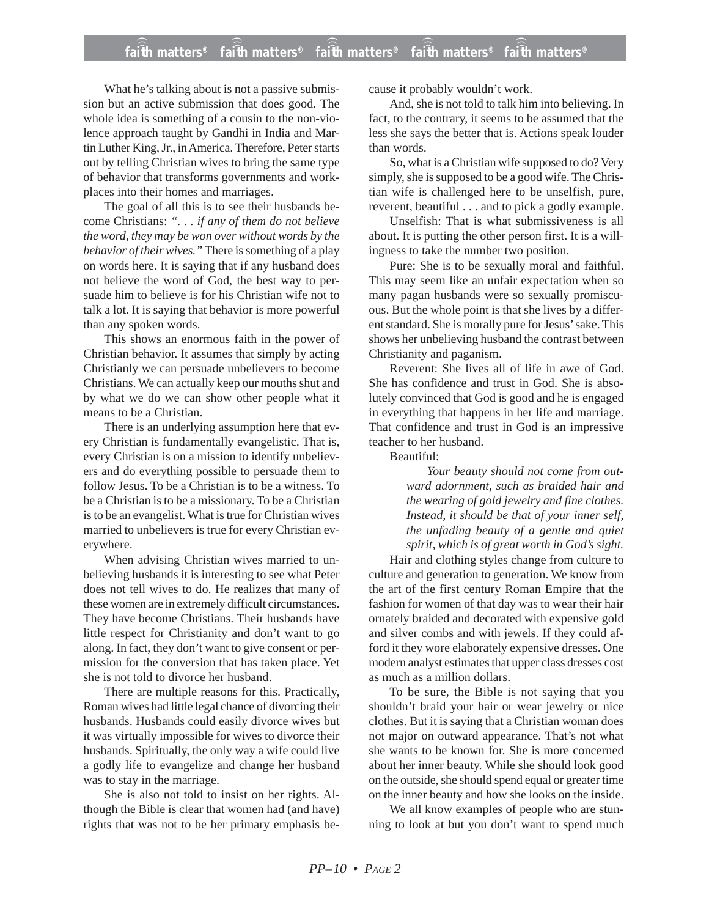What he's talking about is not a passive submission but an active submission that does good. The whole idea is something of a cousin to the non-violence approach taught by Gandhi in India and Martin Luther King, Jr., in America. Therefore, Peter starts out by telling Christian wives to bring the same type of behavior that transforms governments and workplaces into their homes and marriages.

The goal of all this is to see their husbands become Christians: *". . . if any of them do not believe the word, they may be won over without words by the behavior of their wives."* There is something of a play on words here. It is saying that if any husband does not believe the word of God, the best way to persuade him to believe is for his Christian wife not to talk a lot. It is saying that behavior is more powerful than any spoken words.

This shows an enormous faith in the power of Christian behavior. It assumes that simply by acting Christianly we can persuade unbelievers to become Christians. We can actually keep our mouths shut and by what we do we can show other people what it means to be a Christian.

There is an underlying assumption here that every Christian is fundamentally evangelistic. That is, every Christian is on a mission to identify unbelievers and do everything possible to persuade them to follow Jesus. To be a Christian is to be a witness. To be a Christian is to be a missionary. To be a Christian is to be an evangelist. What is true for Christian wives married to unbelievers is true for every Christian everywhere.

When advising Christian wives married to unbelieving husbands it is interesting to see what Peter does not tell wives to do. He realizes that many of these women are in extremely difficult circumstances. They have become Christians. Their husbands have little respect for Christianity and don't want to go along. In fact, they don't want to give consent or permission for the conversion that has taken place. Yet she is not told to divorce her husband.

There are multiple reasons for this. Practically, Roman wives had little legal chance of divorcing their husbands. Husbands could easily divorce wives but it was virtually impossible for wives to divorce their husbands. Spiritually, the only way a wife could live a godly life to evangelize and change her husband was to stay in the marriage.

She is also not told to insist on her rights. Although the Bible is clear that women had (and have) rights that was not to be her primary emphasis because it probably wouldn't work.

And, she is not told to talk him into believing. In fact, to the contrary, it seems to be assumed that the less she says the better that is. Actions speak louder than words.

So, what is a Christian wife supposed to do? Very simply, she is supposed to be a good wife. The Christian wife is challenged here to be unselfish, pure, reverent, beautiful . . . and to pick a godly example.

Unselfish: That is what submissiveness is all about. It is putting the other person first. It is a willingness to take the number two position.

Pure: She is to be sexually moral and faithful. This may seem like an unfair expectation when so many pagan husbands were so sexually promiscuous. But the whole point is that she lives by a different standard. She is morally pure for Jesus' sake. This shows her unbelieving husband the contrast between Christianity and paganism.

Reverent: She lives all of life in awe of God. She has confidence and trust in God. She is absolutely convinced that God is good and he is engaged in everything that happens in her life and marriage. That confidence and trust in God is an impressive teacher to her husband.

Beautiful:

*Your beauty should not come from outward adornment, such as braided hair and the wearing of gold jewelry and fine clothes. Instead, it should be that of your inner self, the unfading beauty of a gentle and quiet spirit, which is of great worth in God's sight.*

Hair and clothing styles change from culture to culture and generation to generation. We know from the art of the first century Roman Empire that the fashion for women of that day was to wear their hair ornately braided and decorated with expensive gold and silver combs and with jewels. If they could afford it they wore elaborately expensive dresses. One modern analyst estimates that upper class dresses cost as much as a million dollars.

To be sure, the Bible is not saying that you shouldn't braid your hair or wear jewelry or nice clothes. But it is saying that a Christian woman does not major on outward appearance. That's not what she wants to be known for. She is more concerned about her inner beauty. While she should look good on the outside, she should spend equal or greater time on the inner beauty and how she looks on the inside.

We all know examples of people who are stunning to look at but you don't want to spend much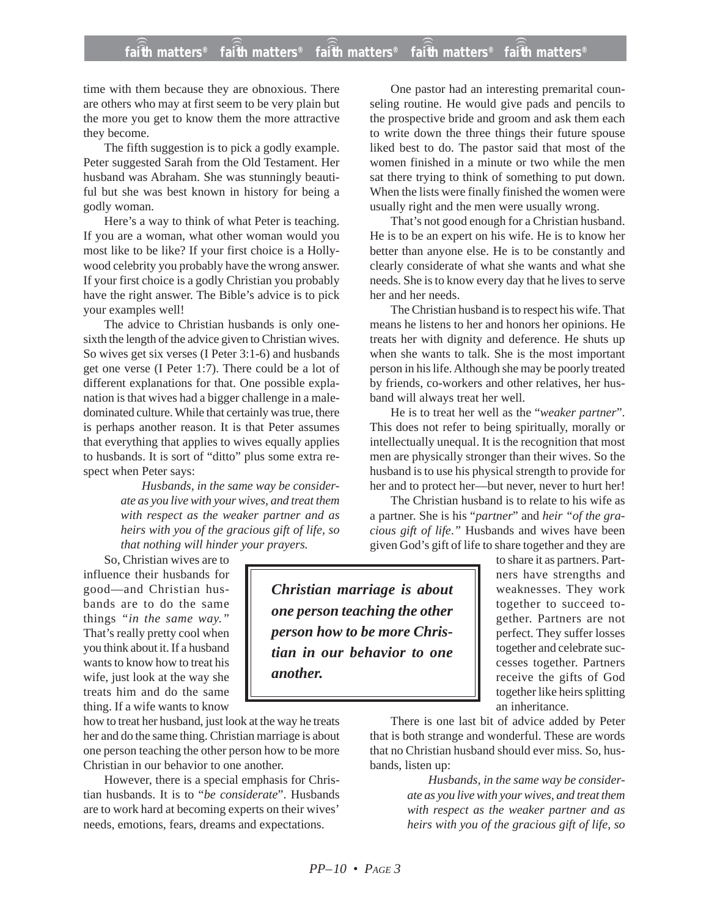## **faith matters® faith matters® faith matters® faith matters® faith matters®** ))) ))) ))) ))) )))

time with them because they are obnoxious. There are others who may at first seem to be very plain but the more you get to know them the more attractive they become.

The fifth suggestion is to pick a godly example. Peter suggested Sarah from the Old Testament. Her husband was Abraham. She was stunningly beautiful but she was best known in history for being a godly woman.

Here's a way to think of what Peter is teaching. If you are a woman, what other woman would you most like to be like? If your first choice is a Hollywood celebrity you probably have the wrong answer. If your first choice is a godly Christian you probably have the right answer. The Bible's advice is to pick your examples well!

The advice to Christian husbands is only onesixth the length of the advice given to Christian wives. So wives get six verses (I Peter 3:1-6) and husbands get one verse (I Peter 1:7). There could be a lot of different explanations for that. One possible explanation is that wives had a bigger challenge in a maledominated culture. While that certainly was true, there is perhaps another reason. It is that Peter assumes that everything that applies to wives equally applies to husbands. It is sort of "ditto" plus some extra respect when Peter says:

> *Husbands, in the same way be considerate as you live with your wives, and treat them with respect as the weaker partner and as heirs with you of the gracious gift of life, so that nothing will hinder your prayers.*

So, Christian wives are to influence their husbands for good—and Christian husbands are to do the same things *"in the same way."* That's really pretty cool when you think about it. If a husband wants to know how to treat his wife, just look at the way she treats him and do the same thing. If a wife wants to know

how to treat her husband, just look at the way he treats her and do the same thing. Christian marriage is about one person teaching the other person how to be more Christian in our behavior to one another.

However, there is a special emphasis for Christian husbands. It is to "*be considerate*". Husbands are to work hard at becoming experts on their wives' needs, emotions, fears, dreams and expectations.

One pastor had an interesting premarital counseling routine. He would give pads and pencils to the prospective bride and groom and ask them each to write down the three things their future spouse liked best to do. The pastor said that most of the women finished in a minute or two while the men sat there trying to think of something to put down. When the lists were finally finished the women were usually right and the men were usually wrong.

That's not good enough for a Christian husband. He is to be an expert on his wife. He is to know her better than anyone else. He is to be constantly and clearly considerate of what she wants and what she needs. She is to know every day that he lives to serve her and her needs.

The Christian husband is to respect his wife. That means he listens to her and honors her opinions. He treats her with dignity and deference. He shuts up when she wants to talk. She is the most important person in his life. Although she may be poorly treated by friends, co-workers and other relatives, her husband will always treat her well.

He is to treat her well as the "*weaker partner*". This does not refer to being spiritually, morally or intellectually unequal. It is the recognition that most men are physically stronger than their wives. So the husband is to use his physical strength to provide for her and to protect her—but never, never to hurt her!

The Christian husband is to relate to his wife as a partner. She is his "*partner*" and *heir "of the gracious gift of life*.*"* Husbands and wives have been given God's gift of life to share together and they are

*Christian marriage is about one person teaching the other person how to be more Christian in our behavior to one another.*

to share it as partners. Partners have strengths and weaknesses. They work together to succeed together. Partners are not perfect. They suffer losses together and celebrate successes together. Partners receive the gifts of God together like heirs splitting an inheritance.

There is one last bit of advice added by Peter that is both strange and wonderful. These are words that no Christian husband should ever miss. So, husbands, listen up:

> *Husbands, in the same way be considerate as you live with your wives, and treat them with respect as the weaker partner and as heirs with you of the gracious gift of life, so*